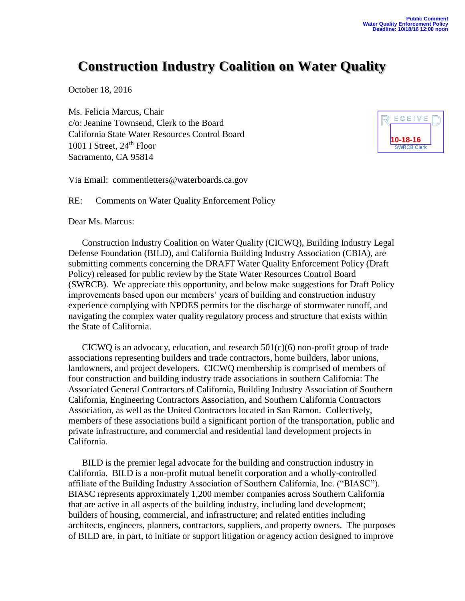## **Construction Industry Coalition on Water Quality**

October 18, 2016

Ms. Felicia Marcus, Chair c/o: Jeanine Townsend, Clerk to the Board California State Water Resources Control Board 1001 I Street, 24<sup>th</sup> Floor Sacramento, CA 95814



Via Email: [commentletters@waterboards.ca.gov](mailto:commentletters@waterboards.ca.gov?subject=Comment%20Letter-(topic):)

RE: Comments on Water Quality Enforcement Policy

Dear Ms. Marcus:

Construction Industry Coalition on Water Quality (CICWQ), Building Industry Legal Defense Foundation (BILD), and California Building Industry Association (CBIA), are submitting comments concerning the DRAFT Water Quality Enforcement Policy (Draft Policy) released for public review by the State Water Resources Control Board (SWRCB). We appreciate this opportunity, and below make suggestions for Draft Policy improvements based upon our members' years of building and construction industry experience complying with NPDES permits for the discharge of stormwater runoff, and navigating the complex water quality regulatory process and structure that exists within the State of California.

CICWQ is an advocacy, education, and research  $501(c)(6)$  non-profit group of trade associations representing builders and trade contractors, home builders, labor unions, landowners, and project developers. CICWQ membership is comprised of members of four construction and building industry trade associations in southern California: The Associated General Contractors of California, Building Industry Association of Southern California, Engineering Contractors Association, and Southern California Contractors Association, as well as the United Contractors located in San Ramon. Collectively, members of these associations build a significant portion of the transportation, public and private infrastructure, and commercial and residential land development projects in California.

BILD is the premier legal advocate for the building and construction industry in California. BILD is a non-profit mutual benefit corporation and a wholly-controlled affiliate of the Building Industry Association of Southern California, Inc. ("BIASC"). BIASC represents approximately 1,200 member companies across Southern California that are active in all aspects of the building industry, including land development; builders of housing, commercial, and infrastructure; and related entities including architects, engineers, planners, contractors, suppliers, and property owners. The purposes of BILD are, in part, to initiate or support litigation or agency action designed to improve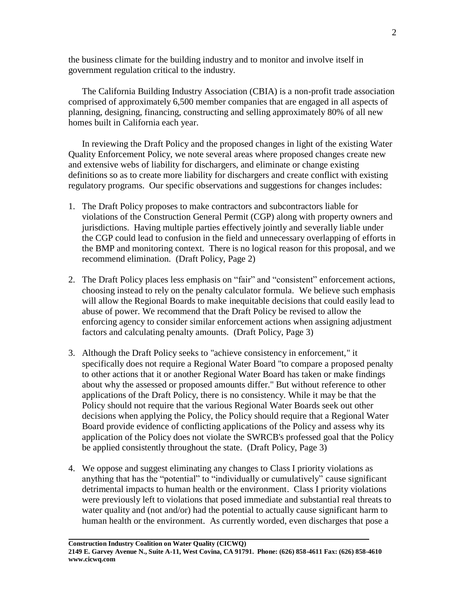the business climate for the building industry and to monitor and involve itself in government regulation critical to the industry.

The California Building Industry Association (CBIA) is a non-profit trade association comprised of approximately 6,500 member companies that are engaged in all aspects of planning, designing, financing, constructing and selling approximately 80% of all new homes built in California each year.

In reviewing the Draft Policy and the proposed changes in light of the existing Water Quality Enforcement Policy, we note several areas where proposed changes create new and extensive webs of liability for dischargers, and eliminate or change existing definitions so as to create more liability for dischargers and create conflict with existing regulatory programs. Our specific observations and suggestions for changes includes:

- 1. The Draft Policy proposes to make contractors and subcontractors liable for violations of the Construction General Permit (CGP) along with property owners and jurisdictions. Having multiple parties effectively jointly and severally liable under the CGP could lead to confusion in the field and unnecessary overlapping of efforts in the BMP and monitoring context. There is no logical reason for this proposal, and we recommend elimination. (Draft Policy, Page 2)
- 2. The Draft Policy places less emphasis on "fair" and "consistent" enforcement actions, choosing instead to rely on the penalty calculator formula. We believe such emphasis will allow the Regional Boards to make inequitable decisions that could easily lead to abuse of power. We recommend that the Draft Policy be revised to allow the enforcing agency to consider similar enforcement actions when assigning adjustment factors and calculating penalty amounts. (Draft Policy, Page 3)
- 3. Although the Draft Policy seeks to "achieve consistency in enforcement," it specifically does not require a Regional Water Board "to compare a proposed penalty to other actions that it or another Regional Water Board has taken or make findings about why the assessed or proposed amounts differ." But without reference to other applications of the Draft Policy, there is no consistency. While it may be that the Policy should not require that the various Regional Water Boards seek out other decisions when applying the Policy, the Policy should require that a Regional Water Board provide evidence of conflicting applications of the Policy and assess why its application of the Policy does not violate the SWRCB's professed goal that the Policy be applied consistently throughout the state. (Draft Policy, Page 3)
- 4. We oppose and suggest eliminating any changes to Class I priority violations as anything that has the "potential" to "individually or cumulatively" cause significant detrimental impacts to human health or the environment. Class I priority violations were previously left to violations that posed immediate and substantial real threats to water quality and (not and/or) had the potential to actually cause significant harm to human health or the environment. As currently worded, even discharges that pose a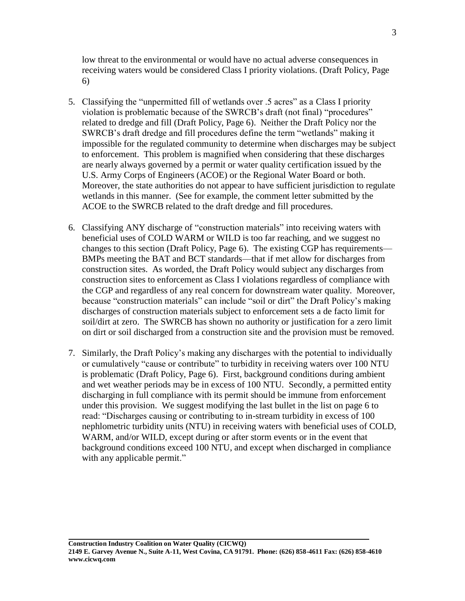low threat to the environmental or would have no actual adverse consequences in receiving waters would be considered Class I priority violations. (Draft Policy, Page 6)

- 5. Classifying the "unpermitted fill of wetlands over .5 acres" as a Class I priority violation is problematic because of the SWRCB's draft (not final) "procedures" related to dredge and fill (Draft Policy, Page 6). Neither the Draft Policy nor the SWRCB's draft dredge and fill procedures define the term "wetlands" making it impossible for the regulated community to determine when discharges may be subject to enforcement. This problem is magnified when considering that these discharges are nearly always governed by a permit or water quality certification issued by the U.S. Army Corps of Engineers (ACOE) or the Regional Water Board or both. Moreover, the state authorities do not appear to have sufficient jurisdiction to regulate wetlands in this manner. (See for example, the comment letter submitted by the ACOE to the SWRCB related to the draft dredge and fill procedures.
- 6. Classifying ANY discharge of "construction materials" into receiving waters with beneficial uses of COLD WARM or WILD is too far reaching, and we suggest no changes to this section (Draft Policy, Page 6). The existing CGP has requirements— BMPs meeting the BAT and BCT standards—that if met allow for discharges from construction sites. As worded, the Draft Policy would subject any discharges from construction sites to enforcement as Class I violations regardless of compliance with the CGP and regardless of any real concern for downstream water quality. Moreover, because "construction materials" can include "soil or dirt" the Draft Policy's making discharges of construction materials subject to enforcement sets a de facto limit for soil/dirt at zero. The SWRCB has shown no authority or justification for a zero limit on dirt or soil discharged from a construction site and the provision must be removed.
- 7. Similarly, the Draft Policy's making any discharges with the potential to individually or cumulatively "cause or contribute" to turbidity in receiving waters over 100 NTU is problematic (Draft Policy, Page 6). First, background conditions during ambient and wet weather periods may be in excess of 100 NTU. Secondly, a permitted entity discharging in full compliance with its permit should be immune from enforcement under this provision. We suggest modifying the last bullet in the list on page 6 to read: "Discharges causing or contributing to in-stream turbidity in excess of 100 nephlometric turbidity units (NTU) in receiving waters with beneficial uses of COLD, WARM, and/or WILD, except during or after storm events or in the event that background conditions exceed 100 NTU, and except when discharged in compliance with any applicable permit."